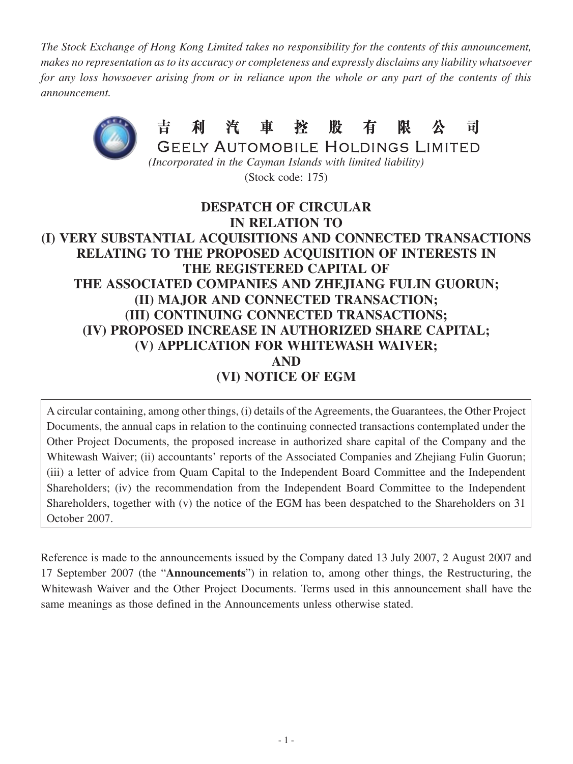*The Stock Exchange of Hong Kong Limited takes no responsibility for the contents of this announcement, makes no representation as to its accuracy or completeness and expressly disclaims any liability whatsoever for any loss howsoever arising from or in reliance upon the whole or any part of the contents of this announcement.*



(Stock code: 175)

## **DESPATCH OF CIRCULAR IN RELATION TO (I) VERY SUBSTANTIAL ACQUISITIONS AND CONNECTED TRANSACTIONS RELATING TO THE PROPOSED ACQUISITION OF INTERESTS IN THE REGISTERED CAPITAL OF THE ASSOCIATED COMPANIES AND ZHEJIANG FULIN GUORUN; (II) MAJOR AND CONNECTED TRANSACTION; (III) CONTINUING CONNECTED TRANSACTIONS; (IV) PROPOSED INCREASE IN AUTHORIZED SHARE CAPITAL; (V) APPLICATION FOR WHITEWASH WAIVER; AND (VI) NOTICE OF EGM**

A circular containing, among other things, (i) details of the Agreements, the Guarantees, the Other Project Documents, the annual caps in relation to the continuing connected transactions contemplated under the Other Project Documents, the proposed increase in authorized share capital of the Company and the Whitewash Waiver; (ii) accountants' reports of the Associated Companies and Zhejiang Fulin Guorun; (iii) a letter of advice from Quam Capital to the Independent Board Committee and the Independent Shareholders; (iv) the recommendation from the Independent Board Committee to the Independent Shareholders, together with (v) the notice of the EGM has been despatched to the Shareholders on 31 October 2007.

Reference is made to the announcements issued by the Company dated 13 July 2007, 2 August 2007 and 17 September 2007 (the "**Announcements**") in relation to, among other things, the Restructuring, the Whitewash Waiver and the Other Project Documents. Terms used in this announcement shall have the same meanings as those defined in the Announcements unless otherwise stated.